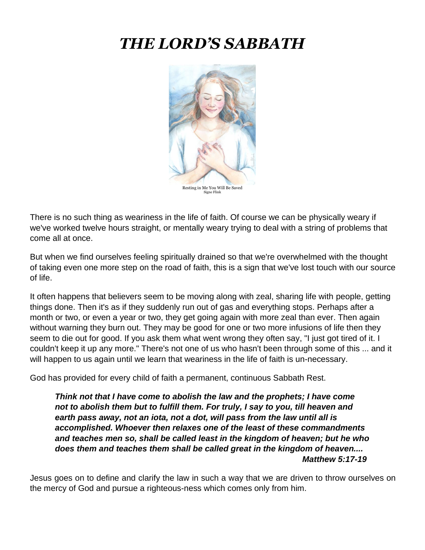# *THE LORD'S SABBATH*



There is no such thing as weariness in the life of faith. Of course we can be physically weary if we've worked twelve hours straight, or mentally weary trying to deal with a string of problems that come all at once.

But when we find ourselves feeling spiritually drained so that we're overwhelmed with the thought of taking even one more step on the road of faith, this is a sign that we've lost touch with our source of life.

It often happens that believers seem to be moving along with zeal, sharing life with people, getting things done. Then it's as if they suddenly run out of gas and everything stops. Perhaps after a month or two, or even a year or two, they get going again with more zeal than ever. Then again without warning they burn out. They may be good for one or two more infusions of life then they seem to die out for good. If you ask them what went wrong they often say, "I just got tired of it. I couldn't keep it up any more." There's not one of us who hasn't been through some of this ... and it will happen to us again until we learn that weariness in the life of faith is un-necessary.

God has provided for every child of faith a permanent, continuous Sabbath Rest.

*Think not that I have come to abolish the law and the prophets; I have come not to abolish them but to fulfill them. For truly, I say to you, till heaven and earth pass away, not an iota, not a dot, will pass from the law until all is accomplished. Whoever then relaxes one of the least of these commandments and teaches men so, shall be called least in the kingdom of heaven; but he who does them and teaches them shall be called great in the kingdom of heaven.... Matthew 5:17-19*

Jesus goes on to define and clarify the law in such a way that we are driven to throw ourselves on the mercy of God and pursue a righteous-ness which comes only from him.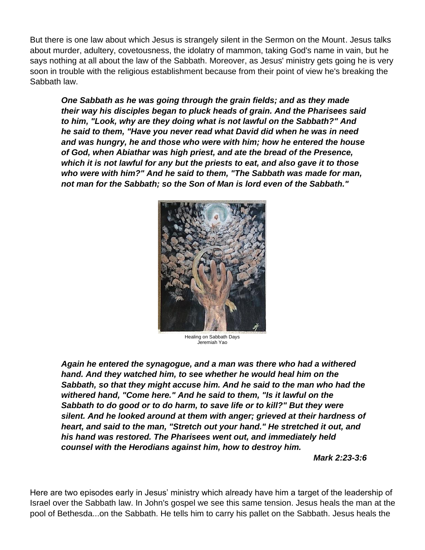But there is one law about which Jesus is strangely silent in the Sermon on the Mount. Jesus talks about murder, adultery, covetousness, the idolatry of mammon, taking God's name in vain, but he says nothing at all about the law of the Sabbath. Moreover, as Jesus' ministry gets going he is very soon in trouble with the religious establishment because from their point of view he's breaking the Sabbath law.

*One Sabbath as he was going through the grain fields; and as they made their way his disciples began to pluck heads of grain. And the Pharisees said to him, "Look, why are they doing what is not lawful on the Sabbath?" And he said to them, "Have you never read what David did when he was in need and was hungry, he and those who were with him; how he entered the house of God, when Abiathar was high priest, and ate the bread of the Presence, which it is not lawful for any but the priests to eat, and also gave it to those who were with him?" And he said to them, "The Sabbath was made for man, not man for the Sabbath; so the Son of Man is lord even of the Sabbath."*



Healing on Sabbath Days Jeremiah Yao

*Again he entered the synagogue, and a man was there who had a withered hand. And they watched him, to see whether he would heal him on the Sabbath, so that they might accuse him. And he said to the man who had the withered hand, "Come here." And he said to them, "Is it lawful on the Sabbath to do good or to do harm, to save life or to kill?" But they were silent. And he looked around at them with anger; grieved at their hardness of heart, and said to the man, "Stretch out your hand." He stretched it out, and his hand was restored. The Pharisees went out, and immediately held counsel with the Herodians against him, how to destroy him.* 

*Mark 2:23-3:6*

Here are two episodes early in Jesus' ministry which already have him a target of the leadership of Israel over the Sabbath law. In John's gospel we see this same tension. Jesus heals the man at the pool of Bethesda...on the Sabbath. He tells him to carry his pallet on the Sabbath. Jesus heals the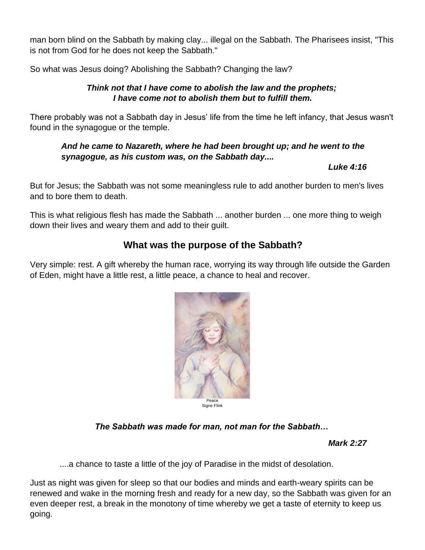man born blind on the Sabbath by making clay... illegal on the Sabbath. The Pharisees insist, "This is not from God for he does not keep the Sabbath."

So what was Jesus doing? Abolishing the Sabbath? Changing the law?

### *Think not that I have come to abolish the law and the prophets; I have come not to abolish them but to fulfill them.*

There probably was not a Sabbath day in Jesus' life from the time he left infancy, that Jesus wasn't found in the synagogue or the temple.

## *And he came to Nazareth, where he had been brought up; and he went to the synagogue, as his custom was, on the Sabbath day....*

 *Luke 4:16*

But for Jesus; the Sabbath was not some meaningless rule to add another burden to men's lives and to bore them to death.

This is what religious flesh has made the Sabbath ... another burden ... one more thing to weigh down their lives and weary them and add to their guilt.

# **What was the purpose of the Sabbath?**

Very simple: rest. A gift whereby the human race, worrying its way through life outside the Garden of Eden, might have a little rest, a little peace, a chance to heal and recover.



*The Sabbath was made for man, not man for the Sabbath…*

 *Mark 2:27*

....a chance to taste a little of the joy of Paradise in the midst of desolation.

Just as night was given for sleep so that our bodies and minds and earth-weary spirits can be renewed and wake in the morning fresh and ready for a new day, so the Sabbath was given for an even deeper rest, a break in the monotony of time whereby we get a taste of eternity to keep us going.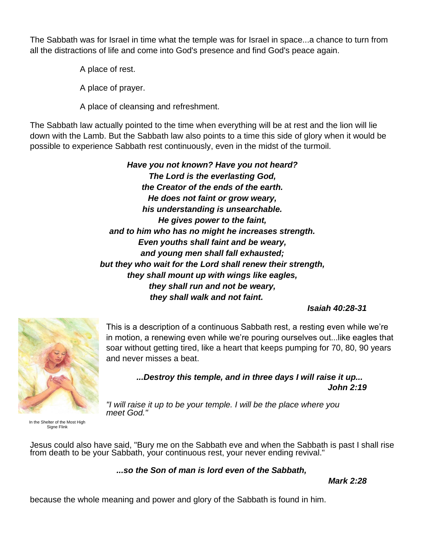The Sabbath was for Israel in time what the temple was for Israel in space...a chance to turn from all the distractions of life and come into God's presence and find God's peace again.

A place of rest.

A place of prayer.

A place of cleansing and refreshment.

The Sabbath law actually pointed to the time when everything will be at rest and the lion will lie down with the Lamb. But the Sabbath law also points to a time this side of glory when it would be possible to experience Sabbath rest continuously, even in the midst of the turmoil.

> *Have you not known? Have you not heard? The Lord is the everlasting God, the Creator of the ends of the earth. He does not faint or grow weary, his understanding is unsearchable. He gives power to the faint, and to him who has no might he increases strength. Even youths shall faint and be weary, and young men shall fall exhausted; but they who wait for the Lord shall renew their strength, they shall mount up with wings like eagles, they shall run and not be weary, they shall walk and not faint.*

> > *Isaiah 40:28-31*



This is a description of a continuous Sabbath rest, a resting even while we're in motion, a renewing even while we're pouring ourselves out...like eagles that soar without getting tired, like a heart that keeps pumping for 70, 80, 90 years and never misses a beat.

> *...Destroy this temple, and in three days I will raise it up... John 2:19*

*"I will raise it up to be your temple. I will be the place where you meet God."* 

In the Shelter of the Most High Signe Flink

Jesus could also have said, "Bury me on the Sabbath eve and when the Sabbath is past I shall rise from death to be your Sabbath, your continuous rest, your never ending revival."

#### *...so the Son of man is lord even of the Sabbath,*

*Mark 2:28*

because the whole meaning and power and glory of the Sabbath is found in him.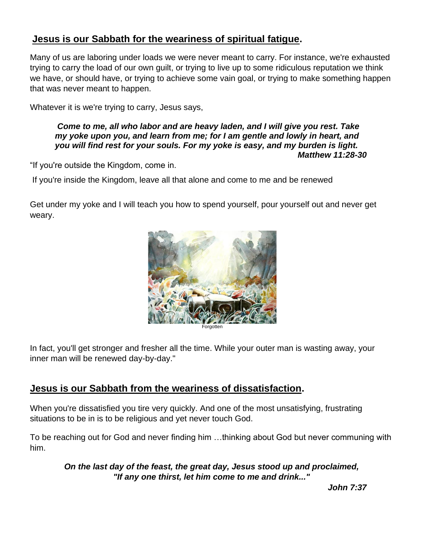# **Jesus is our Sabbath for the weariness of spiritual fatigue.**

Many of us are laboring under loads we were never meant to carry. For instance, we're exhausted trying to carry the load of our own guilt, or trying to live up to some ridiculous reputation we think we have, or should have, or trying to achieve some vain goal, or trying to make something happen that was never meant to happen.

Whatever it is we're trying to carry, Jesus says,

#### *Come to me, all who labor and are heavy laden, and I will give you rest. Take my yoke upon you, and learn from me; for I am gentle and lowly in heart, and you will find rest for your souls. For my yoke is easy, and my burden is light. Matthew 11:28-30*

"If you're outside the Kingdom, come in.

If you're inside the Kingdom, leave all that alone and come to me and be renewed

Get under my yoke and I will teach you how to spend yourself, pour yourself out and never get weary.



In fact, you'll get stronger and fresher all the time. While your outer man is wasting away, your inner man will be renewed day-by-day."

# **Jesus is our Sabbath from the weariness of dissatisfaction.**

When you're dissatisfied you tire very quickly. And one of the most unsatisfying, frustrating situations to be in is to be religious and yet never touch God.

To be reaching out for God and never finding him …thinking about God but never communing with him.

*On the last day of the feast, the great day, Jesus stood up and proclaimed, "If any one thirst, let him come to me and drink..."*

 *John 7:37*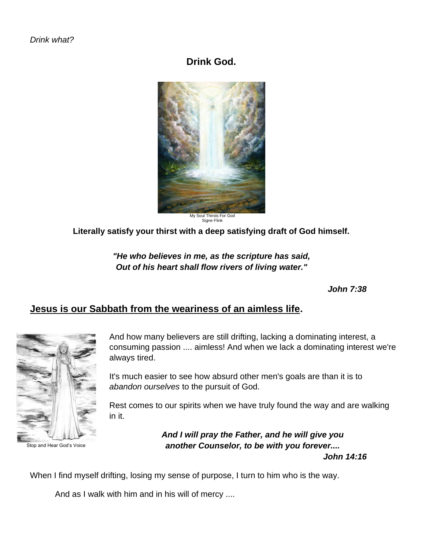# **Drink God.**



My Soul Thirsts For God Signe Flink

**Literally satisfy your thirst with a deep satisfying draft of God himself.**

*"He who believes in me, as the scripture has said, Out of his heart shall flow rivers of living water."* 

*John 7:38*

# **Jesus is our Sabbath from the weariness of an aimless life.**



Stop and Hear God's Voice

And how many believers are still drifting, lacking a dominating interest, a consuming passion .... aimless! And when we lack a dominating interest we're always tired.

It's much easier to see how absurd other men's goals are than it is to *abandon ourselves* to the pursuit of God.

Rest comes to our spirits when we have truly found the way and are walking in it.

> *And I will pray the Father, and he will give you another Counselor, to be with you forever....*

*John 14:16*

When I find myself drifting, losing my sense of purpose, I turn to him who is the way.

And as I walk with him and in his will of mercy ....